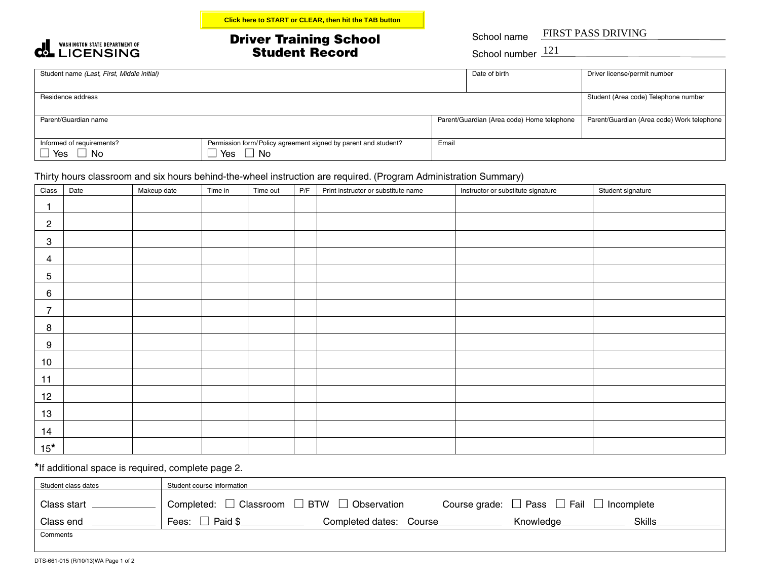

## Driver Training School Student Record FIRST PASS DRIVING 121 **Click here to START or CLEAR, then hit the TAB button**

School name

School number  $121$ 

| Student name (Last, First, Middle initial) |                                                                |       | Date of birth                              | Driver license/permit number               |
|--------------------------------------------|----------------------------------------------------------------|-------|--------------------------------------------|--------------------------------------------|
|                                            |                                                                |       |                                            |                                            |
| Residence address                          | Student (Area code) Telephone number                           |       |                                            |                                            |
|                                            |                                                                |       |                                            |                                            |
| Parent/Guardian name                       |                                                                |       | Parent/Guardian (Area code) Home telephone | Parent/Guardian (Area code) Work telephone |
|                                            |                                                                |       |                                            |                                            |
| Informed of requirements?                  | Permission form/Policy agreement signed by parent and student? | Email |                                            |                                            |
| $□$ Yes<br>' No                            | Yes<br>No                                                      |       |                                            |                                            |

## Thirty hours classroom and six hours behind-the-wheel instruction are required. (Program Administration Summary)

| Class            | Date | Makeup date | Time in | Time out | P/F | Print instructor or substitute name | Instructor or substitute signature | Student signature |
|------------------|------|-------------|---------|----------|-----|-------------------------------------|------------------------------------|-------------------|
| 1                |      |             |         |          |     |                                     |                                    |                   |
| $\overline{c}$   |      |             |         |          |     |                                     |                                    |                   |
| $\sqrt{3}$       |      |             |         |          |     |                                     |                                    |                   |
| 4                |      |             |         |          |     |                                     |                                    |                   |
| 5                |      |             |         |          |     |                                     |                                    |                   |
| 6                |      |             |         |          |     |                                     |                                    |                   |
| $\overline{7}$   |      |             |         |          |     |                                     |                                    |                   |
| 8                |      |             |         |          |     |                                     |                                    |                   |
| $\boldsymbol{9}$ |      |             |         |          |     |                                     |                                    |                   |
| 10               |      |             |         |          |     |                                     |                                    |                   |
| 11               |      |             |         |          |     |                                     |                                    |                   |
| 12               |      |             |         |          |     |                                     |                                    |                   |
| 13               |      |             |         |          |     |                                     |                                    |                   |
| 14               |      |             |         |          |     |                                     |                                    |                   |
| $15*$            |      |             |         |          |     |                                     |                                    |                   |

**\***If additional space is required, complete page 2.

| Student class dates | Student course information                                                                                           |  |  |  |  |  |  |  |  |
|---------------------|----------------------------------------------------------------------------------------------------------------------|--|--|--|--|--|--|--|--|
| Class start         | Completed: $\Box$ Classroom $\Box$ BTW $\Box$ Observation<br>Course grade: $\Box$ Pass $\Box$ Fail $\Box$ Incomplete |  |  |  |  |  |  |  |  |
| Class end           | Fees: $\square$<br>Paid \$<br>Skills_<br>Completed dates: Course_<br>Knowledge                                       |  |  |  |  |  |  |  |  |
| Comments            |                                                                                                                      |  |  |  |  |  |  |  |  |